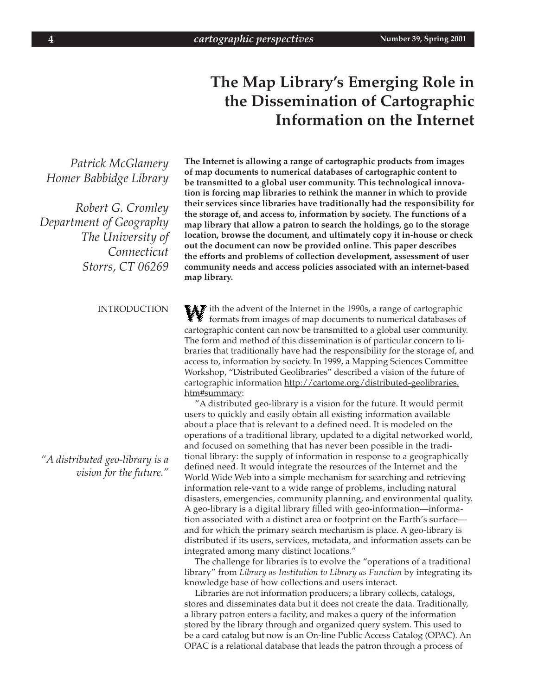# **The Map Library's Emerging Role in the Dissemination of Cartographic Information on the Internet**

*Patrick McGlamery Homer Babbidge Library Robert G. Cromley*

*Department of Geography The University of Connecticut Storrs, CT 06269*

### INTRODUCTION

*"A distributed geo-library is a vision for the future."* **The Internet is allowing a range of cartographic products from images of map documents to numerical databases of cartographic content to be transmitted to a global user community. This technological innovation is forcing map libraries to rethink the manner in which to provide their services since libraries have traditionally had the responsibility for the storage of, and access to, information by society. The functions of a map library that allow a patron to search the holdings, go to the storage location, browse the document, and ultimately copy it in-house or check out the document can now be provided online. This paper describes the efforts and problems of collection development, assessment of user community needs and access policies associated with an internet-based map library.**

ith the advent of the Internet in the 1990s, a range of cartographic<br>formats from images of map documents to numerical databases of formats from images of map documents to numerical databases of cartographic content can now be transmitted to a global user community. The form and method of this dissemination is of particular concern to libraries that traditionally have had the responsibility for the storage of, and access to, information by society. In 1999, a Mapping Sciences Committee Workshop, "Distributed Geolibraries" described a vision of the future of cartographic information http://cartome.org/distributed-geolibraries. htm#summary:

"A distributed geo-library is a vision for the future. It would permit users to quickly and easily obtain all existing information available about a place that is relevant to a defined need. It is modeled on the operations of a traditional library, updated to a digital networked world, and focused on something that has never been possible in the traditional library: the supply of information in response to a geographically defined need. It would integrate the resources of the Internet and the World Wide Web into a simple mechanism for searching and retrieving information rele-vant to a wide range of problems, including natural disasters, emergencies, community planning, and environmental quality. A geo-library is a digital library filled with geo-information—information associated with a distinct area or footprint on the Earth's surface and for which the primary search mechanism is place. A geo-library is distributed if its users, services, metadata, and information assets can be integrated among many distinct locations."

The challenge for libraries is to evolve the "operations of a traditional library" from *Library as Institution to Library as Function* by integrating its knowledge base of how collections and users interact.

Libraries are not information producers; a library collects, catalogs, stores and disseminates data but it does not create the data. Traditionally, a library patron enters a facility, and makes a query of the information stored by the library through and organized query system. This used to be a card catalog but now is an On-line Public Access Catalog (OPAC). An OPAC is a relational database that leads the patron through a process of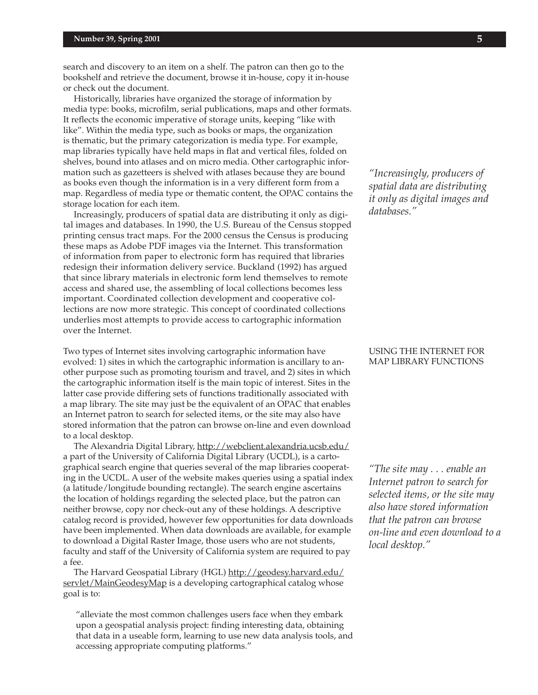search and discovery to an item on a shelf. The patron can then go to the bookshelf and retrieve the document, browse it in-house, copy it in-house or check out the document.

Historically, libraries have organized the storage of information by media type: books, microfilm, serial publications, maps and other formats. It reflects the economic imperative of storage units, keeping "like with like". Within the media type, such as books or maps, the organization is thematic, but the primary categorization is media type. For example, map libraries typically have held maps in flat and vertical files, folded on shelves, bound into atlases and on micro media. Other cartographic information such as gazetteers is shelved with atlases because they are bound as books even though the information is in a very different form from a map. Regardless of media type or thematic content, the OPAC contains the storage location for each item.

Increasingly, producers of spatial data are distributing it only as digital images and databases. In 1990, the U.S. Bureau of the Census stopped printing census tract maps. For the 2000 census the Census is producing these maps as Adobe PDF images via the Internet. This transformation of information from paper to electronic form has required that libraries redesign their information delivery service. Buckland (1992) has argued that since library materials in electronic form lend themselves to remote access and shared use, the assembling of local collections becomes less important. Coordinated collection development and cooperative collections are now more strategic. This concept of coordinated collections underlies most attempts to provide access to cartographic information over the Internet.

Two types of Internet sites involving cartographic information have evolved: 1) sites in which the cartographic information is ancillary to another purpose such as promoting tourism and travel, and 2) sites in which the cartographic information itself is the main topic of interest. Sites in the latter case provide differing sets of functions traditionally associated with a map library. The site may just be the equivalent of an OPAC that enables an Internet patron to search for selected items, or the site may also have stored information that the patron can browse on-line and even download to a local desktop.

The Alexandria Digital Library, http://webclient.alexandria.ucsb.edu/ a part of the University of California Digital Library (UCDL), is a cartographical search engine that queries several of the map libraries cooperating in the UCDL. A user of the website makes queries using a spatial index (a latitude/longitude bounding rectangle). The search engine ascertains the location of holdings regarding the selected place, but the patron can neither browse, copy nor check-out any of these holdings. A descriptive catalog record is provided, however few opportunities for data downloads have been implemented. When data downloads are available, for example to download a Digital Raster Image, those users who are not students, faculty and staff of the University of California system are required to pay a fee.

The Harvard Geospatial Library (HGL) http://geodesy.harvard.edu/ servlet/MainGeodesyMap is a developing cartographical catalog whose goal is to:

"alleviate the most common challenges users face when they embark upon a geospatial analysis project: finding interesting data, obtaining that data in a useable form, learning to use new data analysis tools, and accessing appropriate computing platforms."

*"Increasingly, producers of spatial data are distributing it only as digital images and databases."*

### USING THE INTERNET FOR MAP LIBRARY FUNCTIONS

*"The site may . . . enable an Internet patron to search for selected items, or the site may also have stored information that the patron can browse on-line and even download to a local desktop."*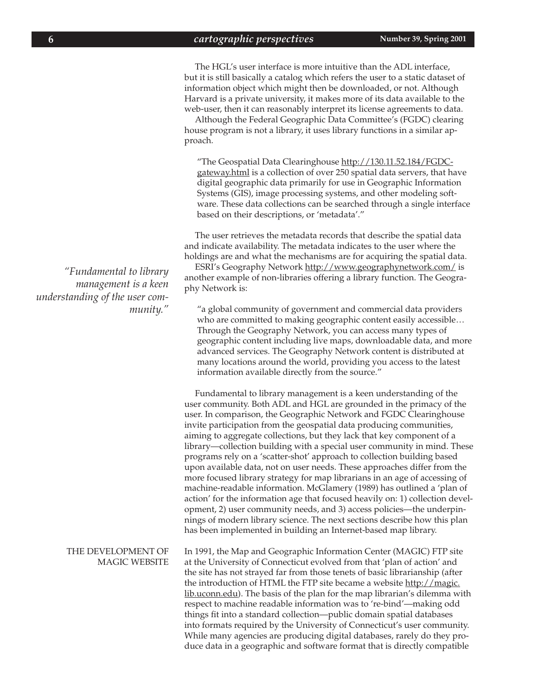The HGL's user interface is more intuitive than the ADL interface, but it is still basically a catalog which refers the user to a static dataset of information object which might then be downloaded, or not. Although Harvard is a private university, it makes more of its data available to the web-user, then it can reasonably interpret its license agreements to data.

Although the Federal Geographic Data Committee's (FGDC) clearing house program is not a library, it uses library functions in a similar approach.

"The Geospatial Data Clearinghouse http://130.11.52.184/FGDCgateway.html is a collection of over 250 spatial data servers, that have digital geographic data primarily for use in Geographic Information Systems (GIS), image processing systems, and other modeling software. These data collections can be searched through a single interface based on their descriptions, or 'metadata'."

The user retrieves the metadata records that describe the spatial data and indicate availability. The metadata indicates to the user where the holdings are and what the mechanisms are for acquiring the spatial data.

ESRI's Geography Network http://www.geographynetwork.com/ is another example of non-libraries offering a library function. The Geography Network is:

"a global community of government and commercial data providers who are committed to making geographic content easily accessible… Through the Geography Network, you can access many types of geographic content including live maps, downloadable data, and more advanced services. The Geography Network content is distributed at many locations around the world, providing you access to the latest information available directly from the source."

Fundamental to library management is a keen understanding of the user community. Both ADL and HGL are grounded in the primacy of the user. In comparison, the Geographic Network and FGDC Clearinghouse invite participation from the geospatial data producing communities, aiming to aggregate collections, but they lack that key component of a library—collection building with a special user community in mind. These programs rely on a 'scatter-shot' approach to collection building based upon available data, not on user needs. These approaches differ from the more focused library strategy for map librarians in an age of accessing of machine-readable information. McGlamery (1989) has outlined a 'plan of action' for the information age that focused heavily on: 1) collection development, 2) user community needs, and 3) access policies—the underpinnings of modern library science. The next sections describe how this plan has been implemented in building an Internet-based map library.

In 1991, the Map and Geographic Information Center (MAGIC) FTP site at the University of Connecticut evolved from that 'plan of action' and the site has not strayed far from those tenets of basic librarianship (after the introduction of HTML the FTP site became a website http://magic. lib.uconn.edu). The basis of the plan for the map librarian's dilemma with respect to machine readable information was to 're-bind'—making odd things fit into a standard collection—public domain spatial databases into formats required by the University of Connecticut's user community. While many agencies are producing digital databases, rarely do they produce data in a geographic and software format that is directly compatible

*"Fundamental to library management is a keen understanding of the user community."*

#### THE DEVELOPMENT OF MAGIC WEBSITE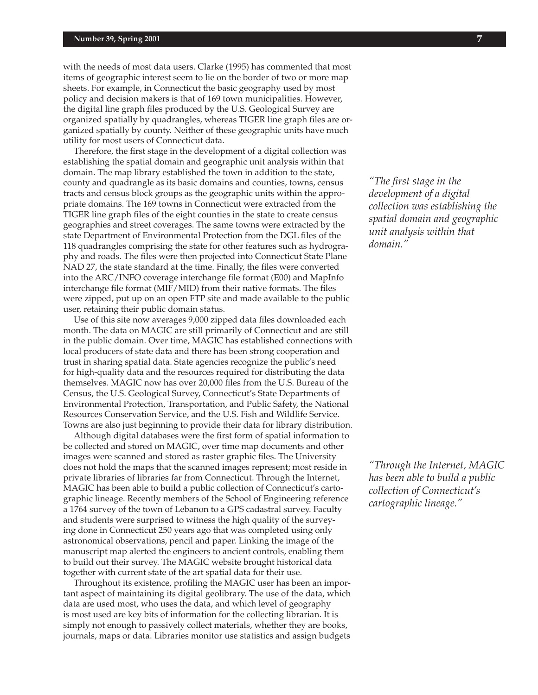with the needs of most data users. Clarke (1995) has commented that most items of geographic interest seem to lie on the border of two or more map sheets. For example, in Connecticut the basic geography used by most policy and decision makers is that of 169 town municipalities. However, the digital line graph files produced by the U.S. Geological Survey are organized spatially by quadrangles, whereas TIGER line graph files are organized spatially by county. Neither of these geographic units have much utility for most users of Connecticut data.

Therefore, the first stage in the development of a digital collection was establishing the spatial domain and geographic unit analysis within that domain. The map library established the town in addition to the state, county and quadrangle as its basic domains and counties, towns, census tracts and census block groups as the geographic units within the appropriate domains. The 169 towns in Connecticut were extracted from the TIGER line graph files of the eight counties in the state to create census geographies and street coverages. The same towns were extracted by the state Department of Environmental Protection from the DGL files of the 118 quadrangles comprising the state for other features such as hydrography and roads. The files were then projected into Connecticut State Plane NAD 27, the state standard at the time. Finally, the files were converted into the ARC/INFO coverage interchange file format (E00) and MapInfo interchange file format (MIF/MID) from their native formats. The files were zipped, put up on an open FTP site and made available to the public user, retaining their public domain status.

Use of this site now averages 9,000 zipped data files downloaded each month. The data on MAGIC are still primarily of Connecticut and are still in the public domain. Over time, MAGIC has established connections with local producers of state data and there has been strong cooperation and trust in sharing spatial data. State agencies recognize the public's need for high-quality data and the resources required for distributing the data themselves. MAGIC now has over 20,000 files from the U.S. Bureau of the Census, the U.S. Geological Survey, Connecticut's State Departments of Environmental Protection, Transportation, and Public Safety, the National Resources Conservation Service, and the U.S. Fish and Wildlife Service. Towns are also just beginning to provide their data for library distribution.

Although digital databases were the first form of spatial information to be collected and stored on MAGIC, over time map documents and other images were scanned and stored as raster graphic files. The University does not hold the maps that the scanned images represent; most reside in private libraries of libraries far from Connecticut. Through the Internet, MAGIC has been able to build a public collection of Connecticut's cartographic lineage. Recently members of the School of Engineering reference a 1764 survey of the town of Lebanon to a GPS cadastral survey. Faculty and students were surprised to witness the high quality of the surveying done in Connecticut 250 years ago that was completed using only astronomical observations, pencil and paper. Linking the image of the manuscript map alerted the engineers to ancient controls, enabling them to build out their survey. The MAGIC website brought historical data together with current state of the art spatial data for their use.

Throughout its existence, profiling the MAGIC user has been an important aspect of maintaining its digital geolibrary. The use of the data, which data are used most, who uses the data, and which level of geography is most used are key bits of information for the collecting librarian. It is simply not enough to passively collect materials, whether they are books, journals, maps or data. Libraries monitor use statistics and assign budgets

*"The first stage in the development of a digital collection was establishing the spatial domain and geographic unit analysis within that domain."*

*"Through the Internet, MAGIC has been able to build a public collection of Connecticut's cartographic lineage."*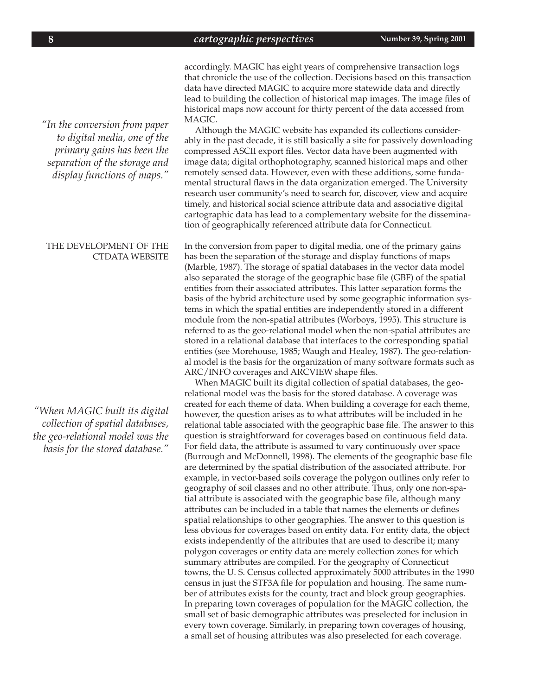accordingly. MAGIC has eight years of comprehensive transaction logs that chronicle the use of the collection. Decisions based on this transaction data have directed MAGIC to acquire more statewide data and directly lead to building the collection of historical map images. The image files of historical maps now account for thirty percent of the data accessed from MAGIC.

Although the MAGIC website has expanded its collections considerably in the past decade, it is still basically a site for passively downloading compressed ASCII export files. Vector data have been augmented with image data; digital orthophotography, scanned historical maps and other remotely sensed data. However, even with these additions, some fundamental structural flaws in the data organization emerged. The University research user community's need to search for, discover, view and acquire timely, and historical social science attribute data and associative digital cartographic data has lead to a complementary website for the dissemination of geographically referenced attribute data for Connecticut.

In the conversion from paper to digital media, one of the primary gains has been the separation of the storage and display functions of maps (Marble, 1987). The storage of spatial databases in the vector data model also separated the storage of the geographic base file (GBF) of the spatial entities from their associated attributes. This latter separation forms the basis of the hybrid architecture used by some geographic information systems in which the spatial entities are independently stored in a different module from the non-spatial attributes (Worboys, 1995). This structure is referred to as the geo-relational model when the non-spatial attributes are stored in a relational database that interfaces to the corresponding spatial entities (see Morehouse, 1985; Waugh and Healey, 1987). The geo-relational model is the basis for the organization of many software formats such as ARC/INFO coverages and ARCVIEW shape files.

When MAGIC built its digital collection of spatial databases, the georelational model was the basis for the stored database. A coverage was created for each theme of data. When building a coverage for each theme, however, the question arises as to what attributes will be included in he relational table associated with the geographic base file. The answer to this question is straightforward for coverages based on continuous field data. For field data, the attribute is assumed to vary continuously over space (Burrough and McDonnell, 1998). The elements of the geographic base file are determined by the spatial distribution of the associated attribute. For example, in vector-based soils coverage the polygon outlines only refer to geography of soil classes and no other attribute. Thus, only one non-spatial attribute is associated with the geographic base file, although many attributes can be included in a table that names the elements or defines spatial relationships to other geographies. The answer to this question is less obvious for coverages based on entity data. For entity data, the object exists independently of the attributes that are used to describe it; many polygon coverages or entity data are merely collection zones for which summary attributes are compiled. For the geography of Connecticut towns, the U. S. Census collected approximately 5000 attributes in the 1990 census in just the STF3A file for population and housing. The same number of attributes exists for the county, tract and block group geographies. In preparing town coverages of population for the MAGIC collection, the small set of basic demographic attributes was preselected for inclusion in every town coverage. Similarly, in preparing town coverages of housing, a small set of housing attributes was also preselected for each coverage.

*"In the conversion from paper to digital media, one of the primary gains has been the separation of the storage and display functions of maps."*

## THE DEVELOPMENT OF THE CTDATA WEBSITE

*"When MAGIC built its digital collection of spatial databases, the geo-relational model was the basis for the stored database."*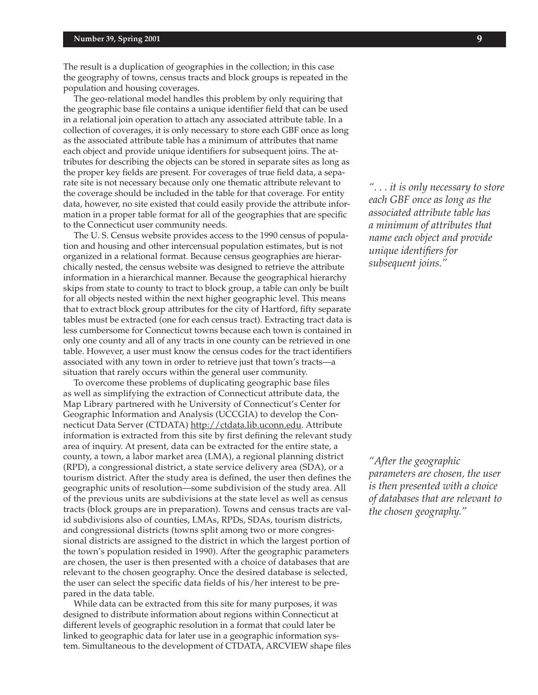The result is a duplication of geographies in the collection; in this case the geography of towns, census tracts and block groups is repeated in the population and housing coverages.

The geo-relational model handles this problem by only requiring that the geographic base file contains a unique identifier field that can be used in a relational join operation to attach any associated attribute table. In a collection of coverages, it is only necessary to store each GBF once as long as the associated attribute table has a minimum of attributes that name each object and provide unique identifiers for subsequent joins. The attributes for describing the objects can be stored in separate sites as long as the proper key fields are present. For coverages of true field data, a separate site is not necessary because only one thematic attribute relevant to the coverage should be included in the table for that coverage. For entity data, however, no site existed that could easily provide the attribute information in a proper table format for all of the geographies that are specific to the Connecticut user community needs.

The U. S. Census website provides access to the 1990 census of population and housing and other intercensual population estimates, but is not organized in a relational format. Because census geographies are hierarchically nested, the census website was designed to retrieve the attribute information in a hierarchical manner. Because the geographical hierarchy skips from state to county to tract to block group, a table can only be built for all objects nested within the next higher geographic level. This means that to extract block group attributes for the city of Hartford, fifty separate tables must be extracted (one for each census tract). Extracting tract data is less cumbersome for Connecticut towns because each town is contained in only one county and all of any tracts in one county can be retrieved in one table. However, a user must know the census codes for the tract identifiers associated with any town in order to retrieve just that town's tracts—a situation that rarely occurs within the general user community.

To overcome these problems of duplicating geographic base files as well as simplifying the extraction of Connecticut attribute data, the Map Library partnered with he University of Connecticut's Center for Geographic Information and Analysis (UCCGIA) to develop the Connecticut Data Server (CTDATA) http://ctdata.lib.uconn.edu. Attribute information is extracted from this site by first defining the relevant study area of inquiry. At present, data can be extracted for the entire state, a county, a town, a labor market area (LMA), a regional planning district (RPD), a congressional district, a state service delivery area (SDA), or a tourism district. After the study area is defined, the user then defines the geographic units of resolution—some subdivision of the study area. All of the previous units are subdivisions at the state level as well as census tracts (block groups are in preparation). Towns and census tracts are valid subdivisions also of counties, LMAs, RPDs, SDAs, tourism districts, and congressional districts (towns split among two or more congressional districts are assigned to the district in which the largest portion of the town's population resided in 1990). After the geographic parameters are chosen, the user is then presented with a choice of databases that are relevant to the chosen geography. Once the desired database is selected, the user can select the specific data fields of his/her interest to be prepared in the data table.

While data can be extracted from this site for many purposes, it was designed to distribute information about regions within Connecticut at different levels of geographic resolution in a format that could later be linked to geographic data for later use in a geographic information system. Simultaneous to the development of CTDATA, ARCVIEW shape files

*". . . it is only necessary to store each GBF once as long as the associated attribute table has a minimum of attributes that name each object and provide unique identifiers for subsequent joins."*

*"After the geographic parameters are chosen, the user is then presented with a choice of databases that are relevant to the chosen geography."*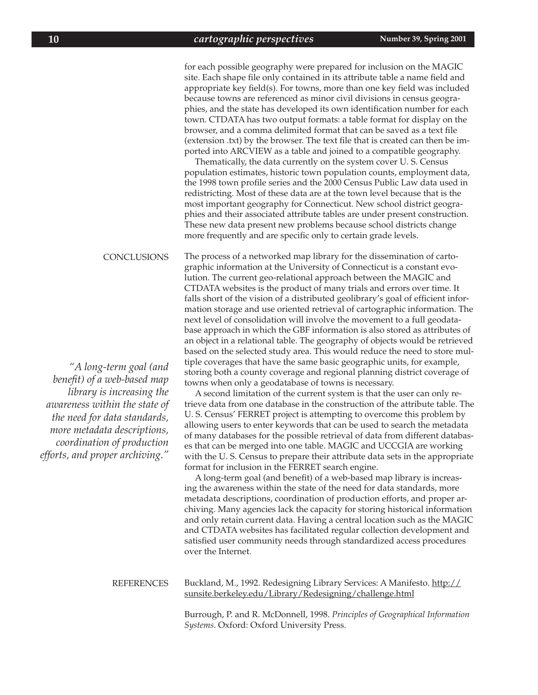for each possible geography were prepared for inclusion on the MAGIC site. Each shape file only contained in its attribute table a name field and appropriate key field(s). For towns, more than one key field was included because towns are referenced as minor civil divisions in census geographies, and the state has developed its own identification number for each town. CTDATA has two output formats: a table format for display on the browser, and a comma delimited format that can be saved as a text file (extension .txt) by the browser. The text file that is created can then be imported into ARCVIEW as a table and joined to a compatible geography.

Thematically, the data currently on the system cover U. S. Census population estimates, historic town population counts, employment data, the 1998 town profile series and the 2000 Census Public Law data used in redistricting. Most of these data are at the town level because that is the most important geography for Connecticut. New school district geographies and their associated attribute tables are under present construction. These new data present new problems because school districts change more frequently and are specific only to certain grade levels.

The process of a networked map library for the dissemination of cartographic information at the University of Connecticut is a constant evolution. The current geo-relational approach between the MAGIC and CTDATA websites is the product of many trials and errors over time. It falls short of the vision of a distributed geolibrary's goal of efficient information storage and use oriented retrieval of cartographic information. The next level of consolidation will involve the movement to a full geodatabase approach in which the GBF information is also stored as attributes of an object in a relational table. The geography of objects would be retrieved based on the selected study area. This would reduce the need to store multiple coverages that have the same basic geographic units, for example, storing both a county coverage and regional planning district coverage of towns when only a geodatabase of towns is necessary. CONCLUSIONS

> A second limitation of the current system is that the user can only retrieve data from one database in the construction of the attribute table. The U. S. Census' FERRET project is attempting to overcome this problem by allowing users to enter keywords that can be used to search the metadata of many databases for the possible retrieval of data from different databases that can be merged into one table. MAGIC and UCCGIA are working with the U. S. Census to prepare their attribute data sets in the appropriate format for inclusion in the FERRET search engine.

> A long-term goal (and benefit) of a web-based map library is increasing the awareness within the state of the need for data standards, more metadata descriptions, coordination of production efforts, and proper archiving. Many agencies lack the capacity for storing historical information and only retain current data. Having a central location such as the MAGIC and CTDATA websites has facilitated regular collection development and satisfied user community needs through standardized access procedures over the Internet.

#### Buckland, M., 1992. Redesigning Library Services: A Manifesto. http:// sunsite.berkeley.edu/Library/Redesigning/challenge.html REFERENCES

Burrough, P. and R. McDonnell, 1998. *Principles of Geographical Information Systems*. Oxford: Oxford University Press.

*"A long-term goal (and benefit) of a web-based map library is increasing the awareness within the state of the need for data standards, more metadata descriptions, coordination of production efforts, and proper archiving."*